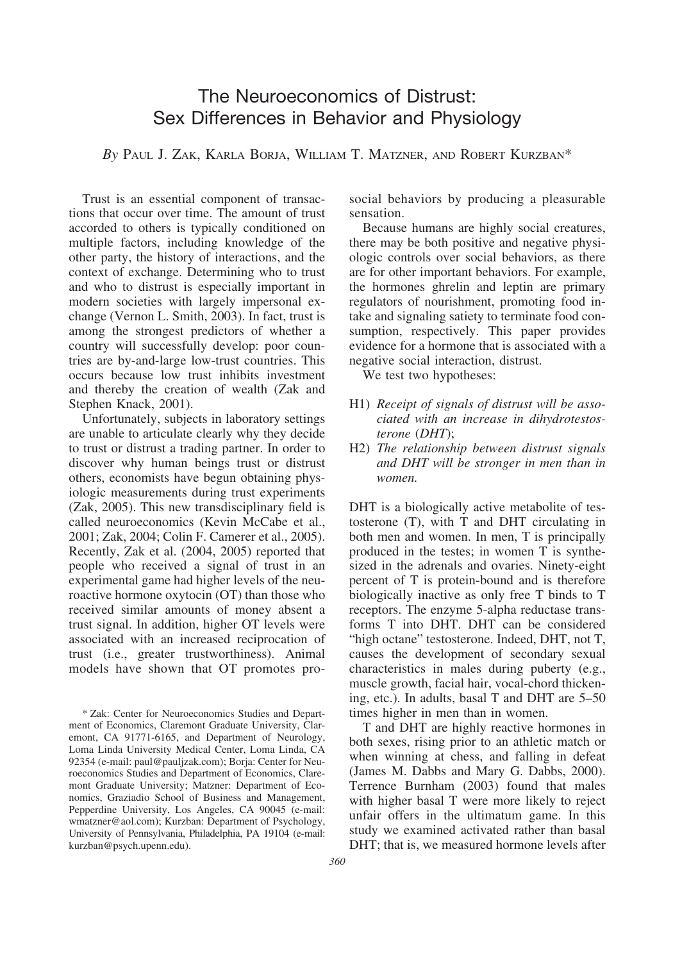# The Neuroeconomics of Distrust: Sex Differences in Behavior and Physiology

*By* PAUL J. ZAK, KARLA BORJA, WILLIAM T. MATZNER, AND ROBERT KURZBAN\*

Trust is an essential component of transactions that occur over time. The amount of trust accorded to others is typically conditioned on multiple factors, including knowledge of the other party, the history of interactions, and the context of exchange. Determining who to trust and who to distrust is especially important in modern societies with largely impersonal exchange (Vernon L. Smith, 2003). In fact, trust is among the strongest predictors of whether a country will successfully develop: poor countries are by-and-large low-trust countries. This occurs because low trust inhibits investment and thereby the creation of wealth (Zak and Stephen Knack, 2001).

Unfortunately, subjects in laboratory settings are unable to articulate clearly why they decide to trust or distrust a trading partner. In order to discover why human beings trust or distrust others, economists have begun obtaining physiologic measurements during trust experiments (Zak, 2005). This new transdisciplinary field is called neuroeconomics (Kevin McCabe et al., 2001; Zak, 2004; Colin F. Camerer et al., 2005). Recently, Zak et al. (2004, 2005) reported that people who received a signal of trust in an experimental game had higher levels of the neuroactive hormone oxytocin (OT) than those who received similar amounts of money absent a trust signal. In addition, higher OT levels were associated with an increased reciprocation of trust (i.e., greater trustworthiness). Animal models have shown that OT promotes prosocial behaviors by producing a pleasurable sensation.

Because humans are highly social creatures, there may be both positive and negative physiologic controls over social behaviors, as there are for other important behaviors. For example, the hormones ghrelin and leptin are primary regulators of nourishment, promoting food intake and signaling satiety to terminate food consumption, respectively. This paper provides evidence for a hormone that is associated with a negative social interaction, distrust.

We test two hypotheses:

- H1) *Receipt of signals of distrust will be associated with an increase in dihydrotestosterone* (*DHT*);
- H2) *The relationship between distrust signals and DHT will be stronger in men than in women.*

DHT is a biologically active metabolite of testosterone (T), with T and DHT circulating in both men and women. In men, T is principally produced in the testes; in women T is synthesized in the adrenals and ovaries. Ninety-eight percent of T is protein-bound and is therefore biologically inactive as only free T binds to T receptors. The enzyme 5-alpha reductase transforms T into DHT. DHT can be considered "high octane" testosterone. Indeed, DHT, not T, causes the development of secondary sexual characteristics in males during puberty (e.g., muscle growth, facial hair, vocal-chord thickening, etc.). In adults, basal T and DHT are 5–50 times higher in men than in women.

T and DHT are highly reactive hormones in both sexes, rising prior to an athletic match or when winning at chess, and falling in defeat (James M. Dabbs and Mary G. Dabbs, 2000). Terrence Burnham (2003) found that males with higher basal T were more likely to reject unfair offers in the ultimatum game. In this study we examined activated rather than basal DHT; that is, we measured hormone levels after

<sup>\*</sup> Zak: Center for Neuroeconomics Studies and Department of Economics, Claremont Graduate University, Claremont, CA 91771-6165, and Department of Neurology, Loma Linda University Medical Center, Loma Linda, CA 92354 (e-mail: paul@pauljzak.com); Borja: Center for Neuroeconomics Studies and Department of Economics, Claremont Graduate University; Matzner: Department of Economics, Graziadio School of Business and Management, Pepperdine University, Los Angeles, CA 90045 (e-mail: wmatzner@aol.com); Kurzban: Department of Psychology, University of Pennsylvania, Philadelphia, PA 19104 (e-mail: kurzban@psych.upenn.edu).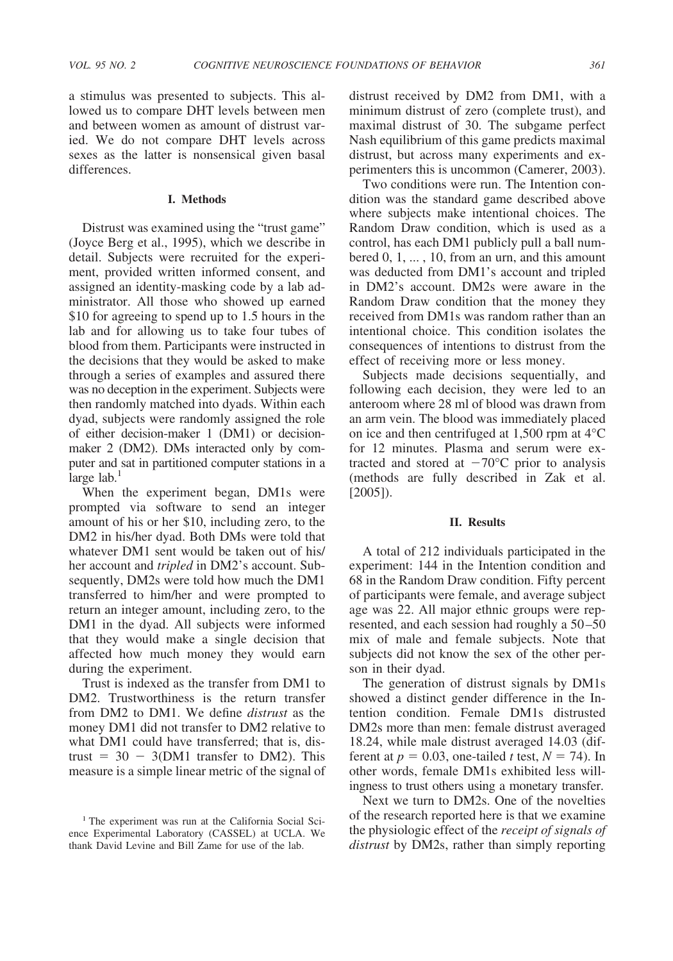a stimulus was presented to subjects. This allowed us to compare DHT levels between men and between women as amount of distrust varied. We do not compare DHT levels across sexes as the latter is nonsensical given basal differences.

### **I. Methods**

Distrust was examined using the "trust game" (Joyce Berg et al., 1995), which we describe in detail. Subjects were recruited for the experiment, provided written informed consent, and assigned an identity-masking code by a lab administrator. All those who showed up earned \$10 for agreeing to spend up to 1.5 hours in the lab and for allowing us to take four tubes of blood from them. Participants were instructed in the decisions that they would be asked to make through a series of examples and assured there was no deception in the experiment. Subjects were then randomly matched into dyads. Within each dyad, subjects were randomly assigned the role of either decision-maker 1 (DM1) or decisionmaker 2 (DM2). DMs interacted only by computer and sat in partitioned computer stations in a  $large$  lab.<sup>1</sup>

When the experiment began, DM1s were prompted via software to send an integer amount of his or her \$10, including zero, to the DM2 in his/her dyad. Both DMs were told that whatever DM1 sent would be taken out of his/ her account and *tripled* in DM2's account. Subsequently, DM2s were told how much the DM1 transferred to him/her and were prompted to return an integer amount, including zero, to the DM1 in the dyad. All subjects were informed that they would make a single decision that affected how much money they would earn during the experiment.

Trust is indexed as the transfer from DM1 to DM2. Trustworthiness is the return transfer from DM2 to DM1. We define *distrust* as the money DM1 did not transfer to DM2 relative to what DM1 could have transferred; that is, distrust  $= 30 - 3(DM1)$  transfer to DM2). This measure is a simple linear metric of the signal of distrust received by DM2 from DM1, with a minimum distrust of zero (complete trust), and maximal distrust of 30. The subgame perfect Nash equilibrium of this game predicts maximal distrust, but across many experiments and experimenters this is uncommon (Camerer, 2003).

Two conditions were run. The Intention condition was the standard game described above where subjects make intentional choices. The Random Draw condition, which is used as a control, has each DM1 publicly pull a ball numbered 0, 1, ... , 10, from an urn, and this amount was deducted from DM1's account and tripled in DM2's account. DM2s were aware in the Random Draw condition that the money they received from DM1s was random rather than an intentional choice. This condition isolates the consequences of intentions to distrust from the effect of receiving more or less money.

Subjects made decisions sequentially, and following each decision, they were led to an anteroom where 28 ml of blood was drawn from an arm vein. The blood was immediately placed on ice and then centrifuged at 1,500 rpm at 4°C for 12 minutes. Plasma and serum were extracted and stored at  $-70^{\circ}$ C prior to analysis (methods are fully described in Zak et al. [2005]).

### **II. Results**

A total of 212 individuals participated in the experiment: 144 in the Intention condition and 68 in the Random Draw condition. Fifty percent of participants were female, and average subject age was 22. All major ethnic groups were represented, and each session had roughly a  $50-50$ mix of male and female subjects. Note that subjects did not know the sex of the other person in their dyad.

The generation of distrust signals by DM1s showed a distinct gender difference in the Intention condition. Female DM1s distrusted DM2s more than men: female distrust averaged 18.24, while male distrust averaged 14.03 (different at  $p = 0.03$ , one-tailed *t* test,  $N = 74$ ). In other words, female DM1s exhibited less willingness to trust others using a monetary transfer.

Next we turn to DM2s. One of the novelties of the research reported here is that we examine the physiologic effect of the *receipt of signals of distrust* by DM2s, rather than simply reporting

<sup>&</sup>lt;sup>1</sup> The experiment was run at the California Social Science Experimental Laboratory (CASSEL) at UCLA. We thank David Levine and Bill Zame for use of the lab.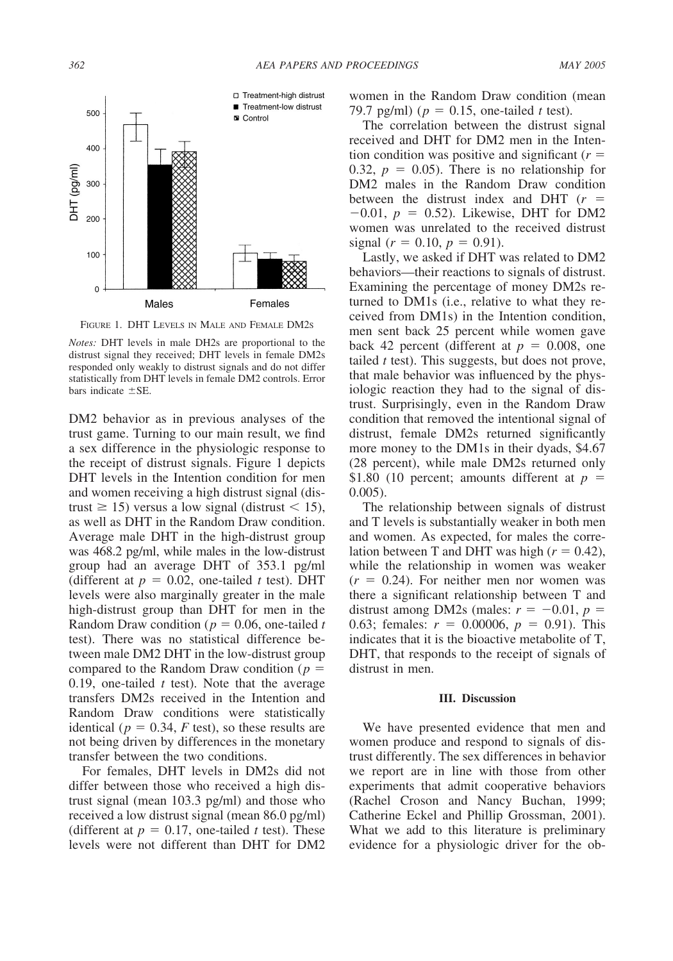

FIGURE 1. DHT LEVELS IN MALE AND FEMALE DM2S

DM2 behavior as in previous analyses of the trust game. Turning to our main result, we find a sex difference in the physiologic response to the receipt of distrust signals. Figure 1 depicts DHT levels in the Intention condition for men and women receiving a high distrust signal (distrust  $\geq$  15) versus a low signal (distrust  $\leq$  15), as well as DHT in the Random Draw condition. Average male DHT in the high-distrust group was 468.2 pg/ml, while males in the low-distrust group had an average DHT of 353.1 pg/ml (different at  $p = 0.02$ , one-tailed *t* test). DHT levels were also marginally greater in the male high-distrust group than DHT for men in the Random Draw condition ( $p = 0.06$ , one-tailed *t* test). There was no statistical difference between male DM2 DHT in the low-distrust group compared to the Random Draw condition (*p* 0.19, one-tailed *t* test). Note that the average transfers DM2s received in the Intention and Random Draw conditions were statistically identical ( $p = 0.34$ ,  $F$  test), so these results are not being driven by differences in the monetary transfer between the two conditions.

For females, DHT levels in DM2s did not differ between those who received a high distrust signal (mean 103.3 pg/ml) and those who received a low distrust signal (mean 86.0 pg/ml) (different at  $p = 0.17$ , one-tailed *t* test). These levels were not different than DHT for DM2

women in the Random Draw condition (mean 79.7 pg/ml) ( $p = 0.15$ , one-tailed *t* test).

The correlation between the distrust signal received and DHT for DM2 men in the Intention condition was positive and significant  $(r =$ 0.32,  $p = 0.05$ ). There is no relationship for DM2 males in the Random Draw condition between the distrust index and DHT (*r*  $-0.01, p = 0.52$ ). Likewise, DHT for DM2 women was unrelated to the received distrust signal ( $r = 0.10$ ,  $p = 0.91$ ).

Lastly, we asked if DHT was related to DM2 behaviors—their reactions to signals of distrust. Examining the percentage of money DM2s returned to DM1s (i.e., relative to what they received from DM1s) in the Intention condition, men sent back 25 percent while women gave back 42 percent (different at  $p = 0.008$ , one tailed *t* test). This suggests, but does not prove, that male behavior was influenced by the physiologic reaction they had to the signal of distrust. Surprisingly, even in the Random Draw condition that removed the intentional signal of distrust, female DM2s returned significantly more money to the DM1s in their dyads, \$4.67 (28 percent), while male DM2s returned only \$1.80 (10 percent; amounts different at  $p =$ 0.005).

The relationship between signals of distrust and T levels is substantially weaker in both men and women. As expected, for males the correlation between T and DHT was high  $(r = 0.42)$ , while the relationship in women was weaker  $(r = 0.24)$ . For neither men nor women was there a significant relationship between T and distrust among DM2s (males:  $r = -0.01$ ,  $p =$ 0.63; females:  $r = 0.00006$ ,  $p = 0.91$ ). This indicates that it is the bioactive metabolite of T, DHT, that responds to the receipt of signals of distrust in men.

#### **III. Discussion**

We have presented evidence that men and women produce and respond to signals of distrust differently. The sex differences in behavior we report are in line with those from other experiments that admit cooperative behaviors (Rachel Croson and Nancy Buchan, 1999; Catherine Eckel and Phillip Grossman, 2001). What we add to this literature is preliminary evidence for a physiologic driver for the ob-

*Notes:* DHT levels in male DH2s are proportional to the distrust signal they received; DHT levels in female DM2s responded only weakly to distrust signals and do not differ statistically from DHT levels in female DM2 controls. Error bars indicate  $\pm$ SE.